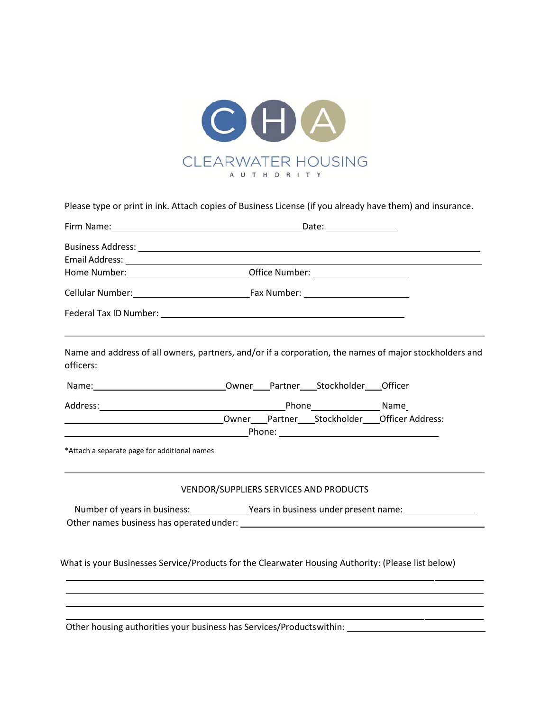

Please type or print in ink. Attach copies of Business License (if you already have them) and insurance.

| officers:                                    | Name and address of all owners, partners, and/or if a corporation, the names of major stockholders and                                                                                                                                |
|----------------------------------------------|---------------------------------------------------------------------------------------------------------------------------------------------------------------------------------------------------------------------------------------|
|                                              |                                                                                                                                                                                                                                       |
|                                              |                                                                                                                                                                                                                                       |
|                                              |                                                                                                                                                                                                                                       |
|                                              |                                                                                                                                                                                                                                       |
| *Attach a separate page for additional names |                                                                                                                                                                                                                                       |
|                                              | VENDOR/SUPPLIERS SERVICES AND PRODUCTS                                                                                                                                                                                                |
|                                              | Number of years in business: Years in business under present name:                                                                                                                                                                    |
|                                              |                                                                                                                                                                                                                                       |
|                                              |                                                                                                                                                                                                                                       |
|                                              |                                                                                                                                                                                                                                       |
|                                              | What is your Businesses Service/Products for the Clearwater Housing Authority: (Please list below)                                                                                                                                    |
|                                              |                                                                                                                                                                                                                                       |
|                                              |                                                                                                                                                                                                                                       |
|                                              | $\mathbf{a}$ and $\mathbf{a}$ are associated to the contract of the contract of the contract of the contract of the contract of the contract of the contract of the contract of the contract of the contract of the contract of the c |

Other housing authorities your business has Services/Productswithin: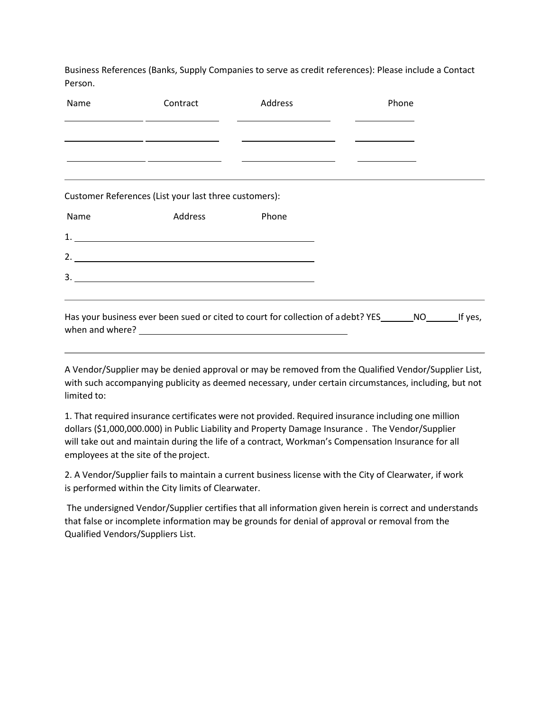Business References (Banks, Supply Companies to serve as credit references): Please include a Contact Person.

| Name | Contract                                              | Address                                                                           | Phone                                                                                          |  |
|------|-------------------------------------------------------|-----------------------------------------------------------------------------------|------------------------------------------------------------------------------------------------|--|
|      |                                                       | <u> 1999 - Jan James James Barnett, fransk politik (d. 1989)</u>                  |                                                                                                |  |
|      |                                                       |                                                                                   | <u> Alexandria (m. 1858)</u>                                                                   |  |
|      |                                                       | <u> 1990 - Jan James Alexandro III, martxa eta biztanleria (h. 1905).</u>         |                                                                                                |  |
|      |                                                       | ,我们也不能会在这里,我们的人们就会在这里,我们也不能会在这里,我们也不能会在这里,我们也不能会在这里,我们也不能会在这里,我们也不能会不能会不能会。""我们,我 |                                                                                                |  |
|      | Customer References (List your last three customers): |                                                                                   |                                                                                                |  |
| Name | Address                                               | Phone                                                                             |                                                                                                |  |
|      |                                                       |                                                                                   |                                                                                                |  |
|      |                                                       |                                                                                   |                                                                                                |  |
|      |                                                       |                                                                                   |                                                                                                |  |
|      |                                                       | ,我们也不能在这里,我们也不能会在这里,我们也不能会在这里,我们也不能会在这里,我们也不能会在这里,我们也不能会在这里,我们也不能会在这里,我们也不能会不能会在这 |                                                                                                |  |
|      |                                                       |                                                                                   | Has your business ever been sued or cited to court for collection of a debt? YES NO NO If yes, |  |

A Vendor/Supplier may be denied approval or may be removed from the Qualified Vendor/Supplier List, with such accompanying publicity as deemed necessary, under certain circumstances, including, but not limited to:

1. That required insurance certificates were not provided. Required insurance including one million dollars (\$1,000,000.000) in Public Liability and Property Damage Insurance . The Vendor/Supplier will take out and maintain during the life of a contract, Workman's Compensation Insurance for all employees at the site of the project.

2. A Vendor/Supplier fails to maintain a current business license with the City of Clearwater, if work is performed within the City limits of Clearwater.

The undersigned Vendor/Supplier certifies that all information given herein is correct and understands that false or incomplete information may be grounds for denial of approval or removal from the Qualified Vendors/Suppliers List.